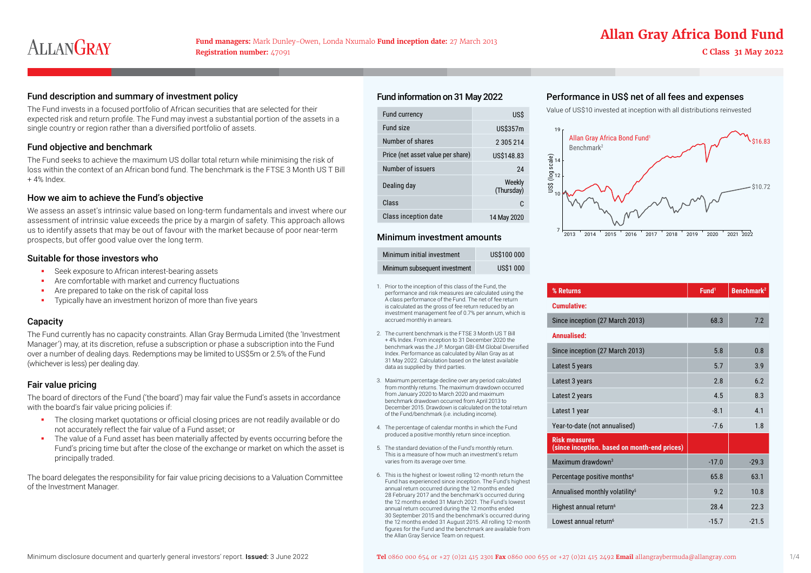### Fund description and summary of investment policy expenses expenses Fund information on 31 May 2022 Performance in US\$ net of all fees and expenses

The Fund invests in a focused portfolio of African securities that are selected for their expected risk and return profile. The Fund may invest a substantial portion of the assets in a single country or region rather than a diversified portfolio of assets.

### Fund objective and benchmark

The Fund seeks to achieve the maximum US dollar total return while minimising the risk of loss within the context of an African bond fund. The benchmark is the FTSE 3 Month US T Bill + 4% Index.

### How we aim to achieve the Fund's objective

We assess an asset's intrinsic value based on long-term fundamentals and invest where our assessment of intrinsic value exceeds the price by a margin of safety. This approach allows us to identify assets that may be out of favour with the market because of poor near-term prospects, but offer good value over the long term.

### Suitable for those investors who

- Seek exposure to African interest-bearing assets
- Are comfortable with market and currency fluctuations
- **Are prepared to take on the risk of capital loss**
- **Typically have an investment horizon of more than five years**

### **Capacity**

The Fund currently has no capacity constraints. Allan Gray Bermuda Limited (the 'Investment Manager') may, at its discretion, refuse a subscription or phase a subscription into the Fund over a number of dealing days. Redemptions may be limited to US\$5m or 2.5% of the Fund (whichever is less) per dealing day.

### Fair value pricing

The board of directors of the Fund ('the board') may fair value the Fund's assets in accordance with the board's fair value pricing policies if:

- The closing market quotations or official closing prices are not readily available or do not accurately reflect the fair value of a Fund asset; or
- The value of a Fund asset has been materially affected by events occurring before the Fund's pricing time but after the close of the exchange or market on which the asset is principally traded.

The board delegates the responsibility for fair value pricing decisions to a Valuation Committee of the Investment Manager.

### Fund information on 31 May 2022

| <b>Fund currency</b>              | US\$                 |
|-----------------------------------|----------------------|
| Fund size                         | US\$357m             |
| Number of shares                  | 2 305 214            |
| Price (net asset value per share) | US\$148.83           |
| Number of issuers                 | 24                   |
| Dealing day                       | Weekly<br>(Thursday) |
| Class                             | C.                   |
| Class inception date              | 14 May 2020          |

### Minimum investment amounts

| Minimum initial investment    | US\$100 000     |
|-------------------------------|-----------------|
| Minimum subsequent investment | <b>US\$1000</b> |

- 1. Prior to the inception of this class of the Fund, the performance and risk measures are calculated using the A class performance of the Fund. The net of fee return is calculated as the gross of fee return reduced by an investment management fee of 0.7% per annum, which is accrued monthly in arrears.
- 2. The current benchmark is the FTSE 3 Month US T Bill + 4% Index. From inception to 31 December 2020 the benchmark was the J.P. Morgan GBI-EM Global Diversified Index. Performance as calculated by Allan Gray as at 31 May 2022. Calculation based on the latest available data as supplied by third parties.
- 3. Maximum percentage decline over any period calculated from monthly returns. The maximum drawdown occurred from January 2020 to March 2020 and maximum benchmark drawdown occurred from April 2013 to December 2015. Drawdown is calculated on the total return of the Fund/benchmark (i.e. including income).
- 4. The percentage of calendar months in which the Fund produced a positive monthly return since inception.
- 5. The standard deviation of the Fund's monthly return. This is a measure of how much an investment's return varies from its average over time.
- 6. This is the highest or lowest rolling 12-month return the Fund has experienced since inception. The Fund's highest annual return occurred during the 12 months ended 28 February 2017 and the benchmark's occurred during the 12 months ended 31 March 2021. The Fund's lowest annual return occurred during the 12 months ended 30 September 2015 and the benchmark's occurred during the 12 months ended 31 August 2015. All rolling 12-month figures for the Fund and the benchmark are available from the Allan Gray Service Team on request.

Value of US\$10 invested at inception with all distributions reinvested



| % Returns                                                            | Fund <sup>1</sup> | Benchmark <sup>2</sup> |
|----------------------------------------------------------------------|-------------------|------------------------|
| <b>Cumulative:</b>                                                   |                   |                        |
| Since inception (27 March 2013)                                      | 68.3              | 7.2                    |
| Annualised:                                                          |                   |                        |
| Since inception (27 March 2013)                                      | 5.8               | 0.8                    |
| Latest 5 years                                                       | 5.7               | 3.9                    |
| Latest 3 years                                                       | 2.8               | 6.2                    |
| Latest 2 years                                                       | 4.5               | 8.3                    |
| Latest 1 year                                                        | $-8.1$            | 4.1                    |
| Year-to-date (not annualised)                                        | $-7.6$            | 1.8                    |
| <b>Risk measures</b><br>(since inception. based on month-end prices) |                   |                        |
| Maximum drawdown $3$                                                 | $-17.0$           | $-29.3$                |
| Percentage positive months <sup>4</sup>                              | 65.8              | 63.1                   |
| Annualised monthly volatility <sup>5</sup>                           | 9.2               | 10.8                   |
| Highest annual return <sup>6</sup>                                   | 28.4              | 22.3                   |
| Lowest annual return <sup>6</sup>                                    | $-15.7$           | $-21.5$                |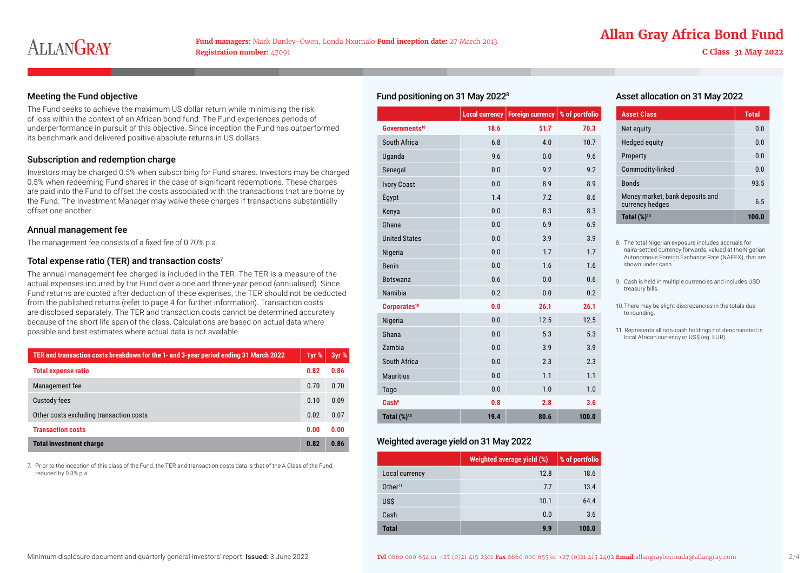## **Fund managers:** Mark Dunley-Owen, Londa Nxumalo **Fund inception date:** 27 March 2013 **Allan Gray Africa Bond Fund**

### Meeting the Fund objective

The Fund seeks to achieve the maximum US dollar return while minimising the risk of loss within the context of an African bond fund. The Fund experiences periods of underperformance in pursuit of this objective. Since inception the Fund has outperformed its benchmark and delivered positive absolute returns in US dollars.

### Subscription and redemption charge

Investors may be charged 0.5% when subscribing for Fund shares. Investors may be charged 0.5% when redeeming Fund shares in the case of significant redemptions. These charges are paid into the Fund to offset the costs associated with the transactions that are borne by the Fund. The Investment Manager may waive these charges if transactions substantially offset one another.

### Annual management fee

The management fee consists of a fixed fee of 0.70% p.a.

### Total expense ratio (TER) and transaction costs $7$

The annual management fee charged is included in the TER. The TER is a measure of the actual expenses incurred by the Fund over a one and three-year period (annualised). Since Fund returns are quoted after deduction of these expenses, the TER should not be deducted from the published returns (refer to page 4 for further information). Transaction costs are disclosed separately. The TER and transaction costs cannot be determined accurately because of the short life span of the class. Calculations are based on actual data where possible and best estimates where actual data is not available.

| TER and transaction costs breakdown for the 1- and 3-year period ending 31 March 2022 | 1yr % | 3yr % |
|---------------------------------------------------------------------------------------|-------|-------|
| <b>Total expense ratio</b>                                                            | 0.82  | 0.86  |
| Management fee                                                                        | 0.70  | 0.70  |
| Custody fees                                                                          | 0.10  | 0.09  |
| Other costs excluding transaction costs                                               | 0.02  | 0.07  |
| <b>Transaction costs</b>                                                              | 0.00  | 0.00  |
| <b>Total investment charge</b>                                                        | 0.82  | 0.86  |

7. Prior to the inception of this class of the Fund, the TER and transaction costs data is that of the A Class of the Fund, reduced by 0.3% p.a.

|  | Fund positioning on 31 May 2022 <sup>8</sup> |  |  |
|--|----------------------------------------------|--|--|
|--|----------------------------------------------|--|--|

|                           | Local currency | Foreign currency | % of portfolio |
|---------------------------|----------------|------------------|----------------|
| Governments <sup>10</sup> | 18.6           | 51.7             | 70.3           |
| South Africa              | 6.8            | 4.0              | 10.7           |
| Uganda                    | 9.6            | 0.0              | 9.6            |
| Senegal                   | 0.0            | 9.2              | 9.2            |
| <b>Ivory Coast</b>        | 0.0            | 8.9              | 8.9            |
| Egypt                     | 1.4            | 7.2              | 8.6            |
| Kenya                     | 0.0            | 8.3              | 8.3            |
| Ghana                     | 0.0            | 6.9              | 6.9            |
| <b>United States</b>      | 0.0            | 3.9              | 3.9            |
| Nigeria                   | 0.0            | 1.7              | 1.7            |
| <b>Benin</b>              | 0.0            | 1.6              | 1.6            |
| <b>Botswana</b>           | 0.6            | 0.0              | 0.6            |
| Namibia                   | 0.2            | 0.0              | 0.2            |
| Corporates <sup>10</sup>  | 0.0            | 26.1             | 26.1           |
| Nigeria                   | 0.0            | 12.5             | 12.5           |
| Ghana                     | 0.0            | 5.3              | 5.3            |
| Zambia                    | 0.0            | 3.9              | 3.9            |
| South Africa              | 0.0            | 2.3              | 2.3            |
| <b>Mauritius</b>          | 0.0            | 1.1              | 1.1            |
| Togo                      | 0.0            | 1.0              | 1.0            |
| Cash <sup>9</sup>         | 0.8            | 2.8              | 3.6            |
| <b>Total (%)10</b>        | 19.4           | 80.6             | 100.0          |

### Weighted average yield on 31 May 2022

|                     | Weighted average yield (%) | % of portfolio |
|---------------------|----------------------------|----------------|
| Local currency      | 12.8                       | 18.6           |
| Other <sup>11</sup> | 7.7                        | 13.4           |
| US\$                | 10.1                       | 64.4           |
| Cash                | 0.0                        | 3.6            |
| <b>Total</b>        | 9.9                        | 100.0          |

### Asset allocation on 31 May 2022

| <b>Asset Class</b>                                 | <b>Total</b> |
|----------------------------------------------------|--------------|
| Net equity                                         | 0.0          |
| Hedged equity                                      | 0.0          |
| Property                                           | 0.0          |
| Commodity-linked                                   | 0.0          |
| <b>Bonds</b>                                       | 93.5         |
| Money market, bank deposits and<br>currency hedges | 6.5          |
| Total $(\%)^{10}$                                  | 100.0        |

- 8. The total Nigerian exposure includes accruals for naira-settled currency forwards, valued at the Nigerian Autonomous Foreign Exchange Rate (NAFEX), that are shown under cash.
- 9. Cash is held in multiple currencies and includes USD treasury bills.
- 10.There may be slight discrepancies in the totals due to rounding.
- 11. Represents all non-cash holdings not denominated in local African currency or US\$ (eg. EUR)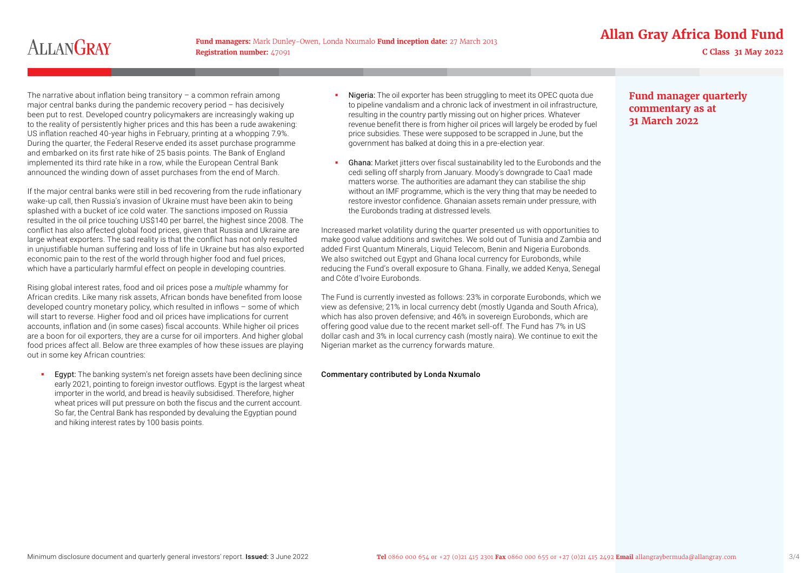**Registration number:** 47091 **C Class 31 May 2022**

## **Allan Gray Africa Bond Fund Fund managers:** Mark Dunley-Owen, Londa Nxumalo **Fund inception date:** 27 March 2013

The narrative about inflation being transitory – a common refrain among major central banks during the pandemic recovery period – has decisively been put to rest. Developed country policymakers are increasingly waking up to the reality of persistently higher prices and this has been a rude awakening: US inflation reached 40-year highs in February, printing at a whopping 7.9%. During the quarter, the Federal Reserve ended its asset purchase programme and embarked on its first rate hike of 25 basis points. The Bank of England implemented its third rate hike in a row, while the European Central Bank announced the winding down of asset purchases from the end of March.

If the major central banks were still in bed recovering from the rude inflationary wake-up call, then Russia's invasion of Ukraine must have been akin to being splashed with a bucket of ice cold water. The sanctions imposed on Russia resulted in the oil price touching US\$140 per barrel, the highest since 2008. The conflict has also affected global food prices, given that Russia and Ukraine are large wheat exporters. The sad reality is that the conflict has not only resulted in unjustifiable human suffering and loss of life in Ukraine but has also exported economic pain to the rest of the world through higher food and fuel prices, which have a particularly harmful effect on people in developing countries.

Rising global interest rates, food and oil prices pose a *multiple* whammy for African credits. Like many risk assets, African bonds have benefited from loose developed country monetary policy, which resulted in inflows – some of which will start to reverse. Higher food and oil prices have implications for current accounts, inflation and (in some cases) fiscal accounts. While higher oil prices are a boon for oil exporters, they are a curse for oil importers. And higher global food prices affect all. Below are three examples of how these issues are playing out in some key African countries:

**Egypt:** The banking system's net foreign assets have been declining since early 2021, pointing to foreign investor outflows. Egypt is the largest wheat importer in the world, and bread is heavily subsidised. Therefore, higher wheat prices will put pressure on both the fiscus and the current account. So far, the Central Bank has responded by devaluing the Egyptian pound and hiking interest rates by 100 basis points.

- Nigeria: The oil exporter has been struggling to meet its OPEC quota due to pipeline vandalism and a chronic lack of investment in oil infrastructure, resulting in the country partly missing out on higher prices. Whatever revenue benefit there is from higher oil prices will largely be eroded by fuel price subsidies. These were supposed to be scrapped in June, but the government has balked at doing this in a pre-election year.
- Ghana: Market jitters over fiscal sustainability led to the Eurobonds and the cedi selling off sharply from January. Moody's downgrade to Caa1 made matters worse. The authorities are adamant they can stabilise the ship without an IMF programme, which is the very thing that may be needed to restore investor confidence. Ghanaian assets remain under pressure, with the Eurobonds trading at distressed levels.

Increased market volatility during the quarter presented us with opportunities to make good value additions and switches. We sold out of Tunisia and Zambia and added First Quantum Minerals, Liquid Telecom, Benin and Nigeria Eurobonds. We also switched out Egypt and Ghana local currency for Eurobonds, while reducing the Fund's overall exposure to Ghana. Finally, we added Kenya, Senegal and Côte d'Ivoire Eurobonds.

The Fund is currently invested as follows: 23% in corporate Eurobonds, which we view as defensive; 21% in local currency debt (mostly Uganda and South Africa), which has also proven defensive; and 46% in sovereign Eurobonds, which are offering good value due to the recent market sell-off. The Fund has 7% in US dollar cash and 3% in local currency cash (mostly naira). We continue to exit the Nigerian market as the currency forwards mature.

### Commentary contributed by Londa Nxumalo

**Fund manager quarterly commentary as at 31 March 2022**